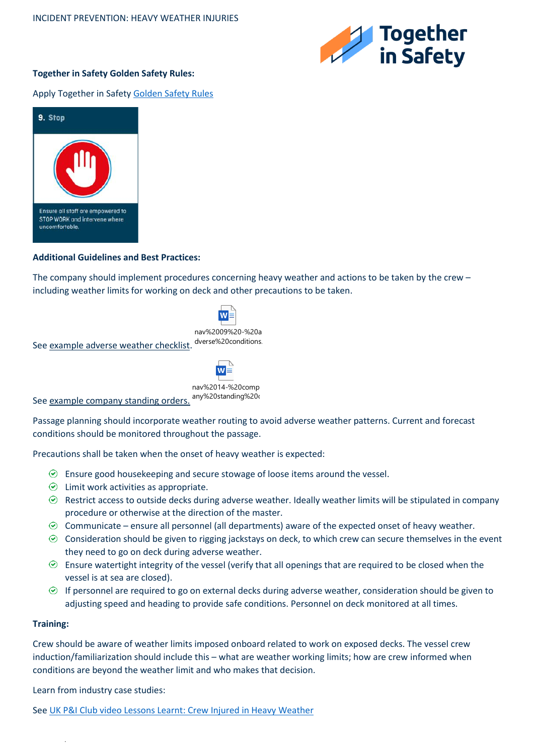

# **Together in Safety Golden Safety Rules:**

## Apply Together in Safet[y Golden Safety Rules](https://togetherinsafety.info/wp-content/uploads/2020/07/Golden-Safety-Rules.pdf)



## **Additional Guidelines and Best Practices:**

The company should implement procedures concerning heavy weather and actions to be taken by the crew – including weather limits for working on deck and other precautions to be taken.

See example adverse weather checklist. nav%2009%20-%20a dverse%20conditions.

nav%2014-%20comp

W

See <u>example company standing orders.</u> <sup>any%20standing%20<sub>0</sub></sup>

Passage planning should incorporate weather routing to avoid adverse weather patterns. Current and forecast conditions should be monitored throughout the passage.

Precautions shall be taken when the onset of heavy weather is expected:

- $\odot$  Ensure good housekeeping and secure stowage of loose items around the vessel.
- $\odot$  Limit work activities as appropriate.
- $\odot$  Restrict access to outside decks during adverse weather. Ideally weather limits will be stipulated in company procedure or otherwise at the direction of the master.
- $\odot$  Communicate ensure all personnel (all departments) aware of the expected onset of heavy weather.
- $\odot$  Consideration should be given to rigging jackstays on deck, to which crew can secure themselves in the event they need to go on deck during adverse weather.
- $\odot$  Ensure watertight integrity of the vessel (verify that all openings that are required to be closed when the vessel is at sea are closed).
- $\odot$  If personnel are required to go on external decks during adverse weather, consideration should be given to adjusting speed and heading to provide safe conditions. Personnel on deck monitored at all times.

## **Training:**

.

Crew should be aware of weather limits imposed onboard related to work on exposed decks. The vessel crew induction/familiarization should include this – what are weather working limits; how are crew informed when conditions are beyond the weather limit and who makes that decision.

Learn from industry case studies:

See [UK P&I Club video Lessons Learnt: Crew Injured in Heavy Weather](https://www.ukpandi.com/news-and-resources/videos/lessons-learnt-crew-injured-in-heavy-weather/)